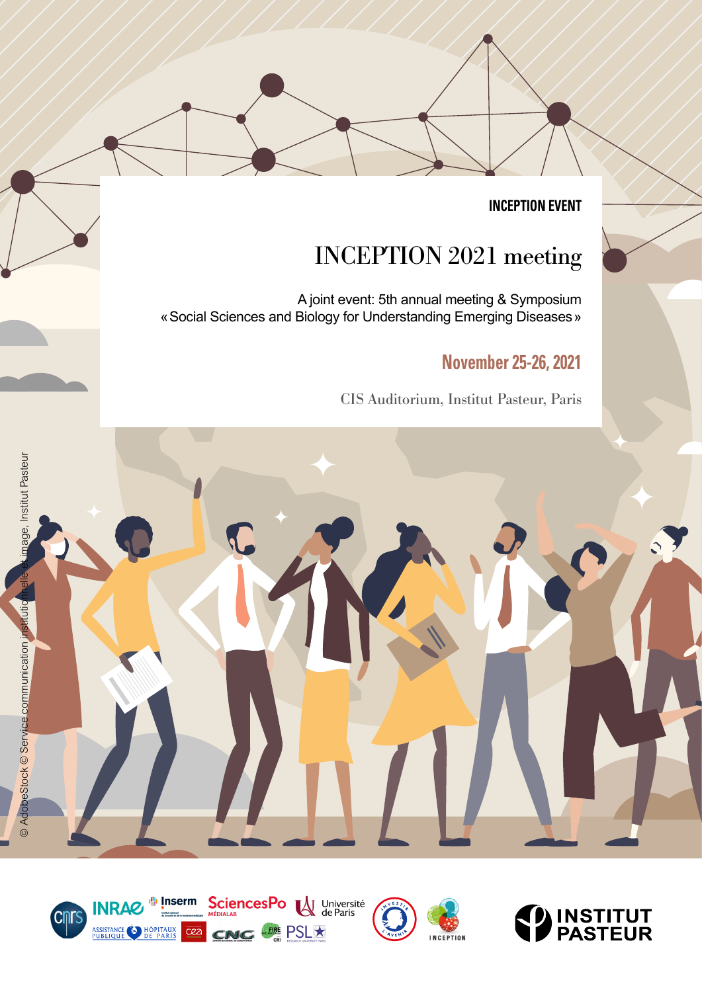**INCEPTION EVENT**

# INCEPTION 2021 meeting

A joint event: 5th annual meeting & Symposium «Social Sciences and Biology for Understanding Emerging Diseases»

## **November 25-26, 2021**

CIS Auditorium, Institut Pasteur, Paris







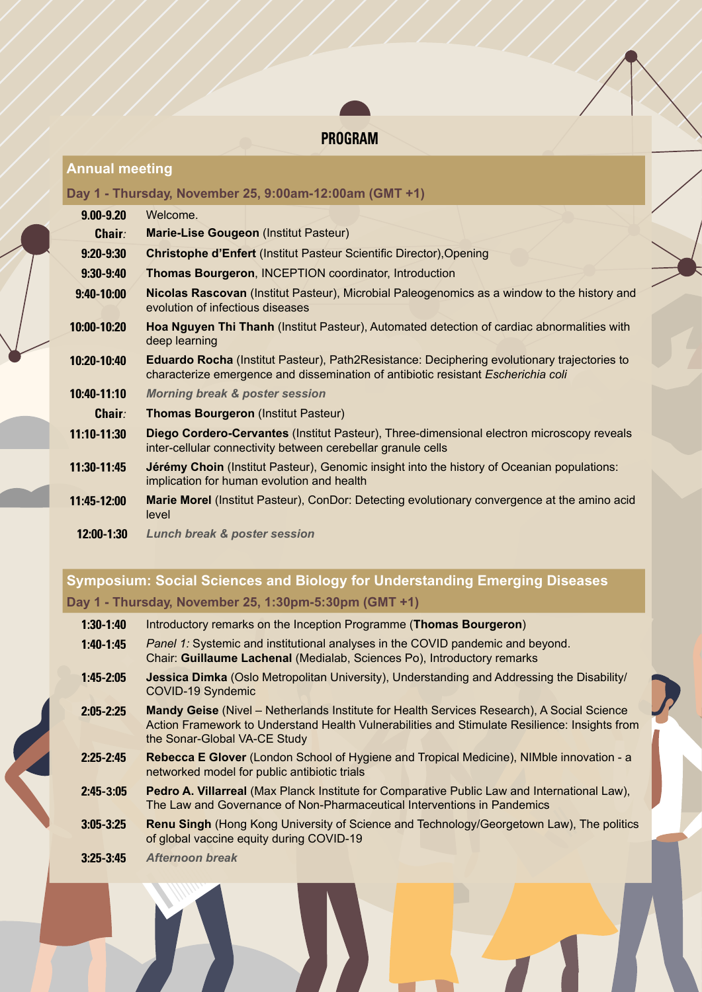

#### **Annual meeting**

#### **Day 1 - Thursday, November 25, 9:00am-12:00am (GMT +1)**

| $9.00 - 9.20$  | Welcome.                                                                                                                                                                                |  |  |
|----------------|-----------------------------------------------------------------------------------------------------------------------------------------------------------------------------------------|--|--|
| <b>Chair:</b>  | Marie-Lise Gougeon (Institut Pasteur)                                                                                                                                                   |  |  |
| $9:20 - 9:30$  | <b>Christophe d'Enfert (Institut Pasteur Scientific Director), Opening</b>                                                                                                              |  |  |
| $9:30-9:40$    | <b>Thomas Bourgeron, INCEPTION coordinator, Introduction</b>                                                                                                                            |  |  |
| $9:40 - 10:00$ | Nicolas Rascovan (Institut Pasteur), Microbial Paleogenomics as a window to the history and<br>evolution of infectious diseases                                                         |  |  |
| 10:00-10:20    | Hoa Nguyen Thi Thanh (Institut Pasteur), Automated detection of cardiac abnormalities with<br>deep learning                                                                             |  |  |
| 10:20-10:40    | <b>Eduardo Rocha</b> (Institut Pasteur), Path2Resistance: Deciphering evolutionary trajectories to<br>characterize emergence and dissemination of antibiotic resistant Escherichia coli |  |  |
| 10:40-11:10    | <b>Morning break &amp; poster session</b>                                                                                                                                               |  |  |
| <b>Chair:</b>  | <b>Thomas Bourgeron (Institut Pasteur)</b>                                                                                                                                              |  |  |
| 11:10-11:30    | Diego Cordero-Cervantes (Institut Pasteur), Three-dimensional electron microscopy reveals<br>inter-cellular connectivity between cerebellar granule cells                               |  |  |
| 11:30-11:45    | <b>Jérémy Choin</b> (Institut Pasteur), Genomic insight into the history of Oceanian populations:<br>implication for human evolution and health                                         |  |  |
| 11:45-12:00    | Marie Morel (Institut Pasteur), ConDor: Detecting evolutionary convergence at the amino acid<br>level                                                                                   |  |  |
| 12:00-1:30     | <b>Lunch break &amp; poster session</b>                                                                                                                                                 |  |  |

### **Symposium: Social Sciences and Biology for Understanding Emerging Diseases Day 1 - Thursday, November 25, 1:30pm-5:30pm (GMT +1)**

| $1:30-1:40$ | Introductory remarks on the Inception Programme (Thomas Bourgeron)                                                                                               |
|-------------|------------------------------------------------------------------------------------------------------------------------------------------------------------------|
| $1:40-1:45$ | <i>Panel 1:</i> Systemic and institutional analyses in the COVID pandemic and beyond.<br>Chair: Guillaume Lachenal (Medialab, Sciences Po), Introductory remarks |
|             |                                                                                                                                                                  |

- **1:45-2:05 Jessica Dimka** (Oslo Metropolitan University), Understanding and Addressing the Disability/ COVID-19 Syndemic
- **2:05-2:25 Mandy Geise** (Nivel Netherlands Institute for Health Services Research), A Social Science Action Framework to Understand Health Vulnerabilities and Stimulate Resilience: Insights from the Sonar-Global VA-CE Study
- **2:25-2:45 Rebecca E Glover** (London School of Hygiene and Tropical Medicine), NIMble innovation a networked model for public antibiotic trials
- **2:45-3:05 Pedro A. Villarreal** (Max Planck Institute for Comparative Public Law and International Law), The Law and Governance of Non-Pharmaceutical Interventions in Pandemics
- **3:05-3:25 Renu Singh** (Hong Kong University of Science and Technology/Georgetown Law), The politics of global vaccine equity during COVID-19
- **3:25-3:45** *Afternoon break*